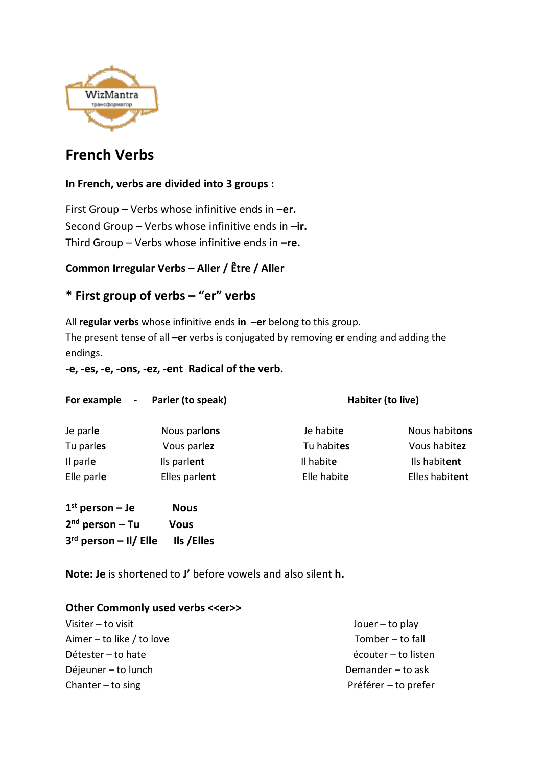

# **French Verbs**

### **In French, verbs are divided into 3 groups :**

First Group – Verbs whose infinitive ends in **–er.** Second Group – Verbs whose infinitive ends in **–ir.** Third Group – Verbs whose infinitive ends in **–re.**

### **Common Irregular Verbs – Aller / Être / Aller**

## **\* First group of verbs – "er" verbs**

All **regular verbs** whose infinitive ends **in –er** belong to this group. The present tense of all **–er** verbs is conjugated by removing **er** ending and adding the endings.

**-e, -es, -e, -ons, -ez, -ent Radical of the verb.**

| For example<br>$\sim$ | Parler (to speak) | Habiter (to live) |                |
|-----------------------|-------------------|-------------------|----------------|
| Je parle              | Nous parlons      | Je habite         | Nous habitons  |
| Tu parles             | Vous parlez       | Tu habites        | Vous habitez   |
| Il parle              | Ils parlent       | Il habite         | Ils habitent   |
| Elle parle            | Elles parlent     | Elle habite       | Elles habitent |
| $1st$ person – Je     | <b>Nous</b>       |                   |                |
| $2nd$ person – Tu     | <b>Vous</b>       |                   |                |

**Note: Je** is shortened to **J'** before vowels and also silent **h.**

#### **Other Commonly used verbs <<er>>**

**3 rd person – Il/ Elle Ils /Elles** 

| Visiter - to visit        | Jouer $-$ to play    |
|---------------------------|----------------------|
| Aimer – to like / to love | Tomber - to fall     |
| Détester - to hate        | écouter - to listen  |
| Déjeuner – to lunch       | Demander - to ask    |
| Chanter $-$ to sing       | Préférer - to prefer |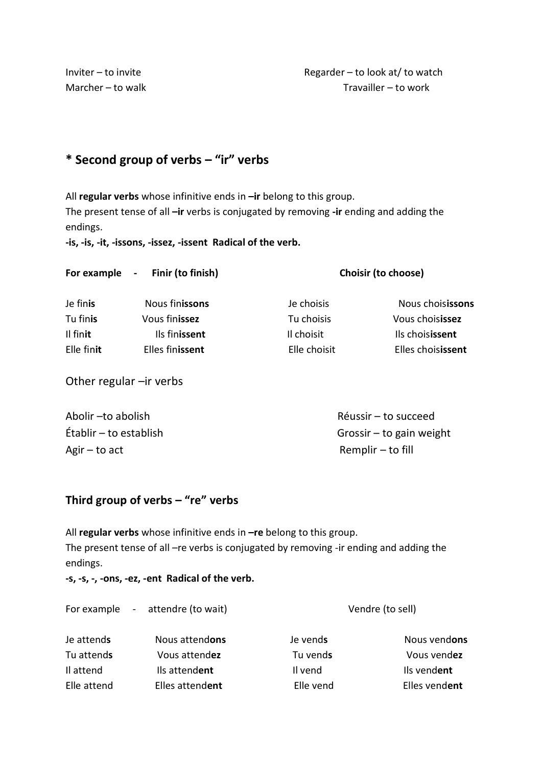Inviter – to invite **EXECUTE:** Regarder – to look at/ to watch Marcher – to walk Travailler – to work

# **\* Second group of verbs – "ir" verbs**

All **regular verbs** whose infinitive ends in **–ir** belong to this group.

The present tense of all **–ir** verbs is conjugated by removing **-ir** ending and adding the endings.

**-is, -is, -it, -issons, -issez, -issent Radical of the verb.**

|                        | For example - Finir (to finish)  | Choisir (to choose)        |                                      |
|------------------------|----------------------------------|----------------------------|--------------------------------------|
| Je finis               | Nous finissons                   | Je choisis                 | Nous choisissons                     |
| Tu finis               | Vous finissez                    | Tu choisis                 | Vous choisissez                      |
| Il finit<br>Elle finit | Ils finissent<br>Elles finissent | Il choisit<br>Elle choisit | Ils choisissent<br>Elles choisissent |
|                        |                                  |                            |                                      |

Other regular –ir verbs

Agir – to act Remplir – to fill

Abolir –to abolish Réussir – to succeed Établir – to establish Grossir – to gain weight

### **Third group of verbs – "re" verbs**

All **regular verbs** whose infinitive ends in **–re** belong to this group. The present tense of all –re verbs is conjugated by removing -ir ending and adding the endings.

**-s, -s, -, -ons, -ez, -ent Radical of the verb.**

|             | For example - attendre (to wait) | Vendre (to sell) |               |
|-------------|----------------------------------|------------------|---------------|
| Je attends  | Nous attendons                   | Je vends         | Nous vendons  |
| Tu attends  | Vous attendez                    | Tu vends         | Vous vendez   |
| Il attend   | Ils attendent                    | Il vend          | Ils vendent   |
| Elle attend | Elles attendent                  | Elle vend        | Elles vendent |